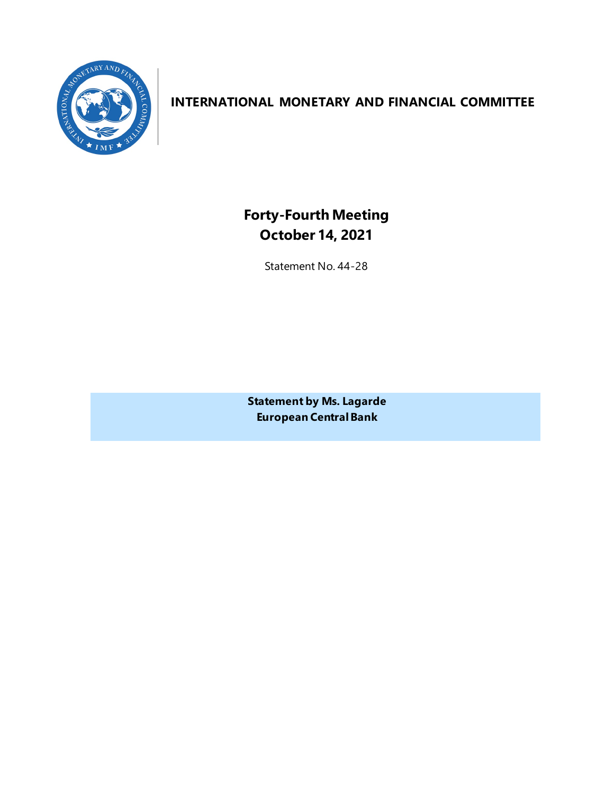

# **INTERNATIONAL MONETARY AND FINANCIAL COMMITTEE**

**Forty-Fourth Meeting October 14, 2021**

Statement No. 44-28

**Statement by Ms. Lagarde European Central Bank**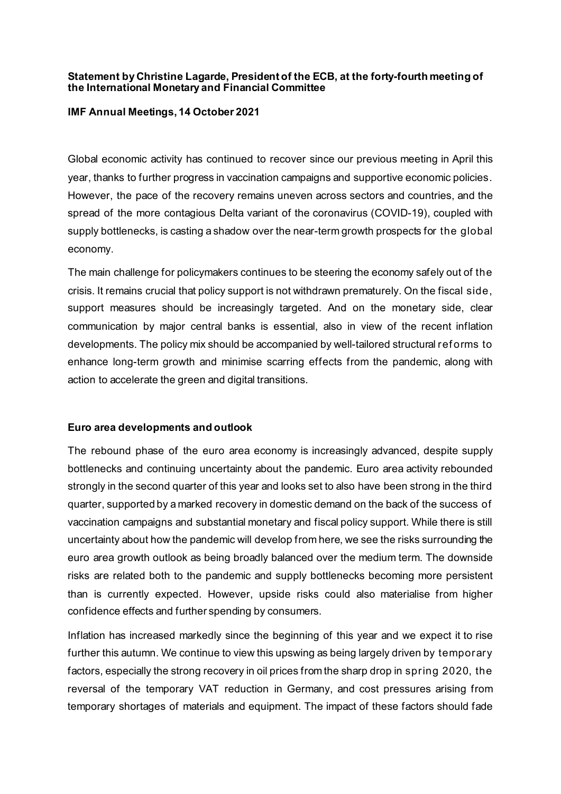## **Statement by Christine Lagarde, President of the ECB, at the forty-fourth meeting of the International Monetary and Financial Committee**

#### **IMF Annual Meetings, 14 October 2021**

Global economic activity has continued to recover since our previous meeting in April this year, thanks to further progress in vaccination campaigns and supportive economic policies. However, the pace of the recovery remains uneven across sectors and countries, and the spread of the more contagious Delta variant of the coronavirus (COVID-19), coupled with supply bottlenecks, is casting a shadow over the near-term growth prospects for the global economy.

The main challenge for policymakers continues to be steering the economy safely out of the crisis. It remains crucial that policy support is not withdrawn prematurely. On the fiscal side, support measures should be increasingly targeted. And on the monetary side, clear communication by major central banks is essential, also in view of the recent inflation developments. The policy mix should be accompanied by well-tailored structural ref orms to enhance long-term growth and minimise scarring effects from the pandemic, along with action to accelerate the green and digital transitions.

## **Euro area developments and outlook**

The rebound phase of the euro area economy is increasingly advanced, despite supply bottlenecks and continuing uncertainty about the pandemic. Euro area activity rebounded strongly in the second quarter of this year and looks set to also have been strong in the third quarter, supported by a marked recovery in domestic demand on the back of the success of vaccination campaigns and substantial monetary and fiscal policy support. While there is still uncertainty about how the pandemic will develop from here, we see the risks surrounding the euro area growth outlook as being broadly balanced over the medium term. The downside risks are related both to the pandemic and supply bottlenecks becoming more persistent than is currently expected. However, upside risks could also materialise from higher confidence effects and further spending by consumers.

Inflation has increased markedly since the beginning of this year and we expect it to rise further this autumn. We continue to view this upswing as being largely driven by temporary factors, especially the strong recovery in oil prices from the sharp drop in spring 2020, the reversal of the temporary VAT reduction in Germany, and cost pressures arising from temporary shortages of materials and equipment. The impact of these factors should fade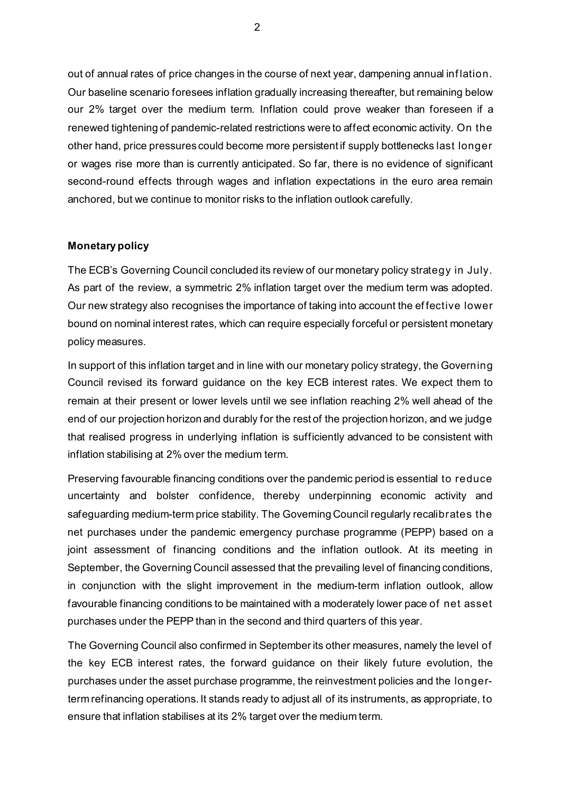out of annual rates of price changes in the course of next year, dampening annual inf lation. Our baseline scenario foresees inflation gradually increasing thereafter, but remaining below our 2% target over the medium term. Inflation could prove weaker than foreseen if a renewed tightening of pandemic-related restrictions were to affect economic activity. On the other hand, price pressures could become more persistent if supply bottlenecks last longer or wages rise more than is currently anticipated. So far, there is no evidence of significant second-round effects through wages and inflation expectations in the euro area remain anchored, but we continue to monitor risks to the inflation outlook carefully.

## **Monetary policy**

The ECB's Governing Council concluded its review of our monetary policy strategy in July. As part of the review, a symmetric 2% inflation target over the medium term was adopted. Our new strategy also recognises the importance of taking into account the ef fective lower bound on nominal interest rates, which can require especially forceful or persistent monetary policy measures.

In support of this inflation target and in line with our monetary policy strategy, the Governing Council revised its forward guidance on the key ECB interest rates. We expect them to remain at their present or lower levels until we see inflation reaching 2% well ahead of the end of our projection horizon and durably for the rest of the projection horizon, and we judge that realised progress in underlying inflation is sufficiently advanced to be consistent with inflation stabilising at 2% over the medium term.

Preserving favourable financing conditions over the pandemic period is essential to reduce uncertainty and bolster confidence, thereby underpinning economic activity and safeguarding medium-term price stability. The Governing Council regularly recalibrates the net purchases under the pandemic emergency purchase programme (PEPP) based on a joint assessment of financing conditions and the inflation outlook. At its meeting in September, the Governing Council assessed that the prevailing level of financing conditions, in conjunction with the slight improvement in the medium-term inflation outlook, allow favourable financing conditions to be maintained with a moderately lower pace of net asset purchases under the PEPP than in the second and third quarters of this year.

The Governing Council also confirmed in September its other measures, namely the level of the key ECB interest rates, the forward guidance on their likely future evolution, the purchases under the asset purchase programme, the reinvestment policies and the longerterm refinancing operations. It stands ready to adjust all of its instruments, as appropriate, to ensure that inflation stabilises at its 2% target over the medium term.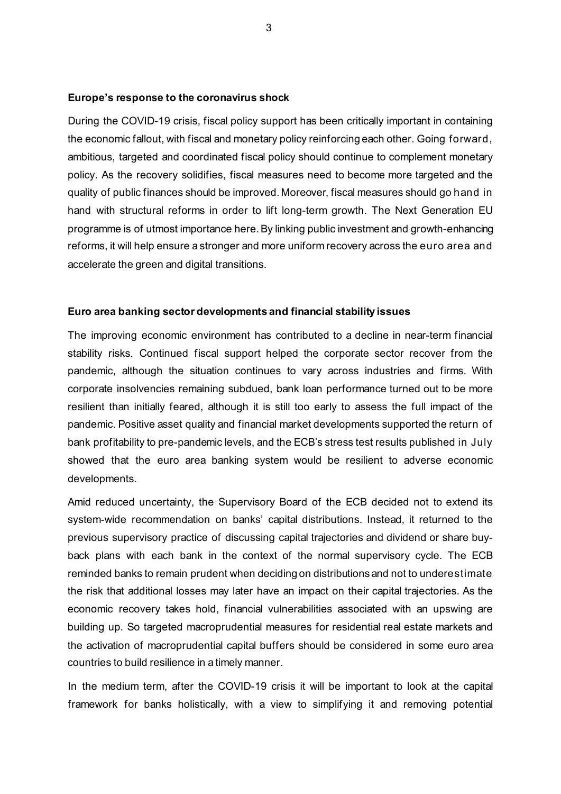#### **Europe's response to the coronavirus shock**

During the COVID-19 crisis, fiscal policy support has been critically important in containing the economic fallout, with fiscal and monetary policy reinforcing each other. Going forward, ambitious, targeted and coordinated fiscal policy should continue to complement monetary policy. As the recovery solidifies, fiscal measures need to become more targeted and the quality of public finances should be improved. Moreover, fiscal measures should go hand in hand with structural reforms in order to lift long-term growth. The Next Generation EU programme is of utmost importance here.By linking public investment and growth-enhancing reforms, it will help ensure a stronger and more uniform recovery across the euro area and accelerate the green and digital transitions.

#### **Euro area banking sector developments and financial stability issues**

The improving economic environment has contributed to a decline in near-term financial stability risks. Continued fiscal support helped the corporate sector recover from the pandemic, although the situation continues to vary across industries and firms. With corporate insolvencies remaining subdued, bank loan performance turned out to be more resilient than initially feared, although it is still too early to assess the full impact of the pandemic. Positive asset quality and financial market developments supported the return of bank profitability to pre-pandemic levels, and the ECB's stress test results published in July showed that the euro area banking system would be resilient to adverse economic developments.

Amid reduced uncertainty, the Supervisory Board of the ECB decided not to extend its system-wide recommendation on banks' capital distributions. Instead, it returned to the previous supervisory practice of discussing capital trajectories and dividend or share buyback plans with each bank in the context of the normal supervisory cycle. The ECB reminded banks to remain prudent when deciding on distributions and not to underestimate the risk that additional losses may later have an impact on their capital trajectories. As the economic recovery takes hold, financial vulnerabilities associated with an upswing are building up. So targeted macroprudential measures for residential real estate markets and the activation of macroprudential capital buffers should be considered in some euro area countries to build resilience in a timely manner.

In the medium term, after the COVID-19 crisis it will be important to look at the capital framework for banks holistically, with a view to simplifying it and removing potential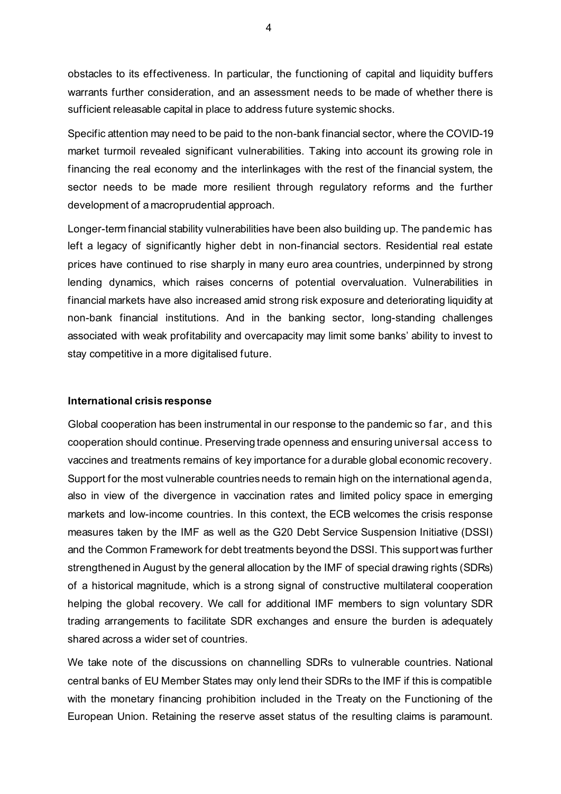obstacles to its effectiveness. In particular, the functioning of capital and liquidity buffers warrants further consideration, and an assessment needs to be made of whether there is sufficient releasable capital in place to address future systemic shocks.

Specific attention may need to be paid to the non-bank financial sector, where the COVID-19 market turmoil revealed significant vulnerabilities. Taking into account its growing role in financing the real economy and the interlinkages with the rest of the financial system, the sector needs to be made more resilient through regulatory reforms and the further development of a macroprudential approach.

Longer-term financial stability vulnerabilities have been also building up. The pandemic has left a legacy of significantly higher debt in non-financial sectors. Residential real estate prices have continued to rise sharply in many euro area countries, underpinned by strong lending dynamics, which raises concerns of potential overvaluation. Vulnerabilities in financial markets have also increased amid strong risk exposure and deteriorating liquidity at non-bank financial institutions. And in the banking sector, long-standing challenges associated with weak profitability and overcapacity may limit some banks' ability to invest to stay competitive in a more digitalised future.

## **International crisis response**

Global cooperation has been instrumental in our response to the pandemic so f ar, and this cooperation should continue. Preserving trade openness and ensuring universal access to vaccines and treatments remains of key importance for a durable global economic recovery. Support for the most vulnerable countries needs to remain high on the international agenda, also in view of the divergence in vaccination rates and limited policy space in emerging markets and low-income countries. In this context, the ECB welcomes the crisis response measures taken by the IMF as well as the G20 Debt Service Suspension Initiative (DSSI) and the Common Framework for debt treatments beyond the DSSI. This support was further strengthened in August by the general allocation by the IMF of special drawing rights (SDRs) of a historical magnitude, which is a strong signal of constructive multilateral cooperation helping the global recovery. We call for additional IMF members to sign voluntary SDR trading arrangements to facilitate SDR exchanges and ensure the burden is adequately shared across a wider set of countries.

We take note of the discussions on channelling SDRs to vulnerable countries. National central banks of EU Member States may only lend their SDRs to the IMF if this is compatible with the monetary financing prohibition included in the Treaty on the Functioning of the European Union. Retaining the reserve asset status of the resulting claims is paramount.